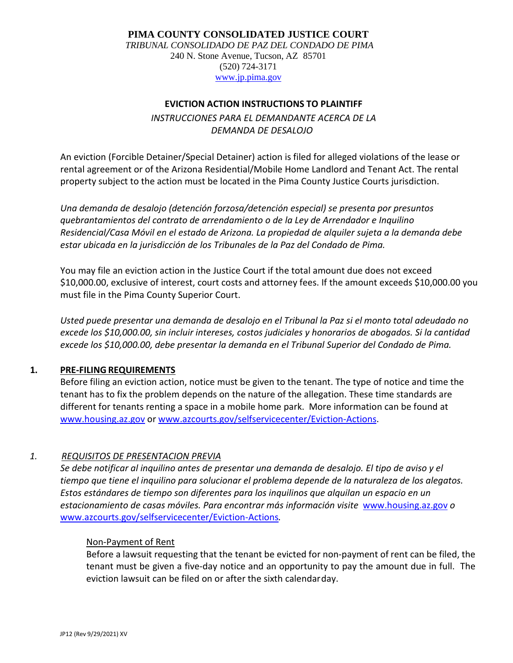## **PIMA COUNTY CONSOLIDATED JUSTICE COURT**

*TRIBUNAL CONSOLIDADO DE PAZ DEL CONDADO DE PIMA* 240 N. Stone Avenue, Tucson, AZ 85701 (520) 724-3171 [www.jp.pima.gov](http://www.jp.pima.gov/)

#### **EVICTION ACTION INSTRUCTIONS TO PLAINTIFF**

*INSTRUCCIONES PARA EL DEMANDANTE ACERCA DE LA DEMANDA DE DESALOJO*

An eviction (Forcible Detainer/Special Detainer) action is filed for alleged violations of the lease or rental agreement or of the Arizona Residential/Mobile Home Landlord and Tenant Act. The rental property subject to the action must be located in the Pima County Justice Courts jurisdiction.

*Una demanda de desalojo (detención forzosa/detención especial) se presenta por presuntos quebrantamientos del contrato de arrendamiento o de la Ley de Arrendador e Inquilino Residencial/Casa Móvil en el estado de Arizona. La propiedad de alquiler sujeta a la demanda debe estar ubicada en la jurisdicción de los Tribunales de la Paz del Condado de Pima.* 

You may file an eviction action in the Justice Court if the total amount due does not exceed \$10,000.00, exclusive of interest, court costs and attorney fees. If the amount exceeds \$10,000.00 you must file in the Pima County Superior Court.

*Usted puede presentar una demanda de desalojo en el Tribunal la Paz si el monto total adeudado no excede los \$10,000.00, sin incluir intereses, costos judiciales y honorarios de abogados. Si la cantidad excede los \$10,000.00, debe presentar la demanda en el Tribunal Superior del Condado de Pima.* 

## **1. PRE-FILING REQUIREMENTS**

Before filing an eviction action, notice must be given to the tenant. The type of notice and time the tenant has to fix the problem depends on the nature of the allegation. These time standards are different for tenants renting a space in a mobile home park. More information can be found at [www.housing.az.gov](http://www.housing.az.gov/) or [www.azcourts.gov/selfservicecenter/Eviction-Actions.](http://www.azcourts.gov/selfservicecenter/Eviction-Actions)

## *1. REQUISITOS DE PRESENTACION PREVIA*

*Se debe notificar al inquilino antes de presentar una demanda de desalojo. El tipo de aviso y el tiempo que tiene el inquilino para solucionar el problema depende de la naturaleza de los alegatos. Estos estándares de tiempo son diferentes para los inquilinos que alquilan un espacio en un estacionamiento de casas móviles. Para encontrar más información visite* [www.housing.az.gov](http://www.housing.az.gov/) *o*  [www.azcourts.gov/selfservicecenter/Eviction-Actions](http://www.azcourts.gov/selfservicecenter/Eviction-Actions)*.* 

#### Non-Payment of Rent

Before a lawsuit requesting that the tenant be evicted for non-payment of rent can be filed, the tenant must be given a five-day notice and an opportunity to pay the amount due in full. The eviction lawsuit can be filed on or after the sixth calendarday.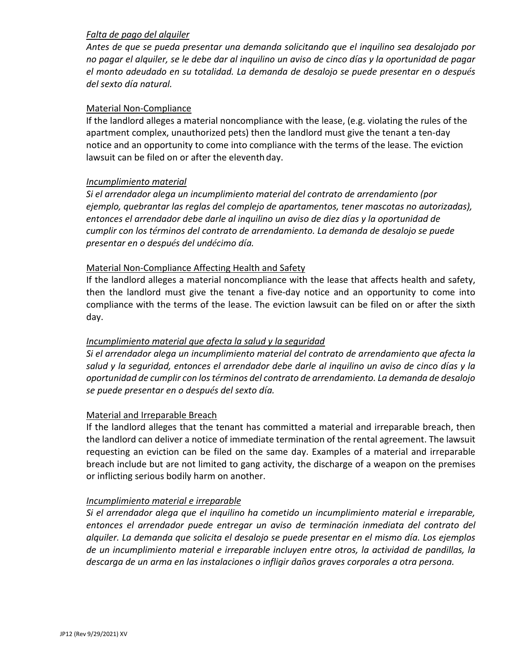## *Falta de pago del alquiler*

*Antes de que se pueda presentar una demanda solicitando que el inquilino sea desalojado por no pagar el alquiler, se le debe dar al inquilino un aviso de cinco días y la oportunidad de pagar el monto adeudado en su totalidad. La demanda de desalojo se puede presentar en o después del sexto día natural.* 

## Material Non-Compliance

If the landlord alleges a material noncompliance with the lease, (e.g. violating the rules of the apartment complex, unauthorized pets) then the landlord must give the tenant a ten-day notice and an opportunity to come into compliance with the terms of the lease. The eviction lawsuit can be filed on or after the eleventh day.

## *Incumplimiento material*

*Si el arrendador alega un incumplimiento material del contrato de arrendamiento (por ejemplo, quebrantar las reglas del complejo de apartamentos, tener mascotas no autorizadas), entonces el arrendador debe darle al inquilino un aviso de diez días y la oportunidad de cumplir con los términos del contrato de arrendamiento. La demanda de desalojo se puede presentar en o después del undécimo día.* 

## Material Non-Compliance Affecting Health and Safety

If the landlord alleges a material noncompliance with the lease that affects health and safety, then the landlord must give the tenant a five-day notice and an opportunity to come into compliance with the terms of the lease. The eviction lawsuit can be filed on or after the sixth day.

# *Incumplimiento material que afecta la salud y la seguridad*

*Si el arrendador alega un incumplimiento material del contrato de arrendamiento que afecta la salud y la seguridad, entonces el arrendador debe darle al inquilino un aviso de cinco días y la oportunidad de cumplir con los términos del contrato de arrendamiento. La demanda de desalojo se puede presentar en o después del sexto día.* 

## Material and Irreparable Breach

If the landlord alleges that the tenant has committed a material and irreparable breach, then the landlord can deliver a notice of immediate termination of the rental agreement. The lawsuit requesting an eviction can be filed on the same day. Examples of a material and irreparable breach include but are not limited to gang activity, the discharge of a weapon on the premises or inflicting serious bodily harm on another.

## *Incumplimiento material e irreparable*

*Si el arrendador alega que el inquilino ha cometido un incumplimiento material e irreparable, entonces el arrendador puede entregar un aviso de terminación inmediata del contrato del alquiler. La demanda que solicita el desalojo se puede presentar en el mismo día. Los ejemplos de un incumplimiento material e irreparable incluyen entre otros, la actividad de pandillas, la descarga de un arma en las instalaciones o infligir daños graves corporales a otra persona.*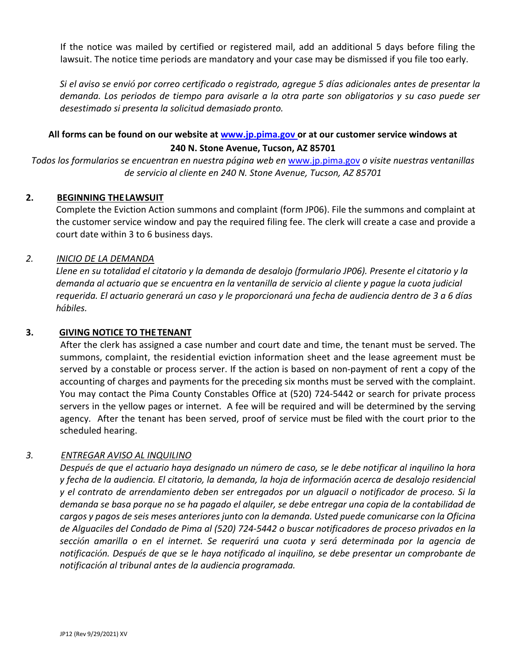If the notice was mailed by certified or registered mail, add an additional 5 days before filing the lawsuit. The notice time periods are mandatory and your case may be dismissed if you file too early.

*Si el aviso se envió por correo certificado o registrado, agregue 5 días adicionales antes de presentar la demanda. Los periodos de tiempo para avisarle a la otra parte son obligatorios y su caso puede ser desestimado si presenta la solicitud demasiado pronto.* 

# **All forms can be found on our website at [www.jp.pima.gov o](http://www.jp.pima.gov/)r at our customer service windows at 240 N. Stone Avenue, Tucson, AZ 85701**

*Todos los formularios se encuentran en nuestra página web en*[www.jp.pima.gov](http://www.jp.pima.gov/) *o visite nuestras ventanillas de servicio al cliente en 240 N. Stone Avenue, Tucson, AZ 85701*

# **2. BEGINNING THELAWSUIT**

Complete the Eviction Action summons and complaint (form JP06). File the summons and complaint at the customer service window and pay the required filing fee. The clerk will create a case and provide a court date within 3 to 6 business days.

## *2. INICIO DE LA DEMANDA*

*Llene en su totalidad el citatorio y la demanda de desalojo (formulario JP06). Presente el citatorio y la demanda al actuario que se encuentra en la ventanilla de servicio al cliente y pague la cuota judicial requerida. El actuario generará un caso y le proporcionará una fecha de audiencia dentro de 3 a 6 días hábiles.* 

## **3. GIVING NOTICE TO THE TENANT**

After the clerk has assigned a case number and court date and time, the tenant must be served. The summons, complaint, the residential eviction information sheet and the lease agreement must be served by a constable or process server. If the action is based on non-payment of rent a copy of the accounting of charges and payments for the preceding six months must be served with the complaint. You may contact the Pima County Constables Office at (520) 724-5442 or search for private process servers in the yellow pages or internet. A fee will be required and will be determined by the serving agency. After the tenant has been served, proof of service must be filed with the court prior to the scheduled hearing.

# *3. ENTREGAR AVISO AL INQUILINO*

*Después de que el actuario haya designado un número de caso, se le debe notificar al inquilino la hora y fecha de la audiencia. El citatorio, la demanda, la hoja de información acerca de desalojo residencial y el contrato de arrendamiento deben ser entregados por un alguacil o notificador de proceso. Si la demanda se basa porque no se ha pagado el alquiler, se debe entregar una copia de la contabilidad de cargos y pagos de seis meses anteriores junto con la demanda. Usted puede comunicarse con la Oficina de Alguaciles del Condado de Pima al (520) 724-5442 o buscar notificadores de proceso privados en la sección amarilla o en el internet. Se requerirá una cuota y será determinada por la agencia de notificación. Después de que se le haya notificado al inquilino, se debe presentar un comprobante de notificación al tribunal antes de la audiencia programada.*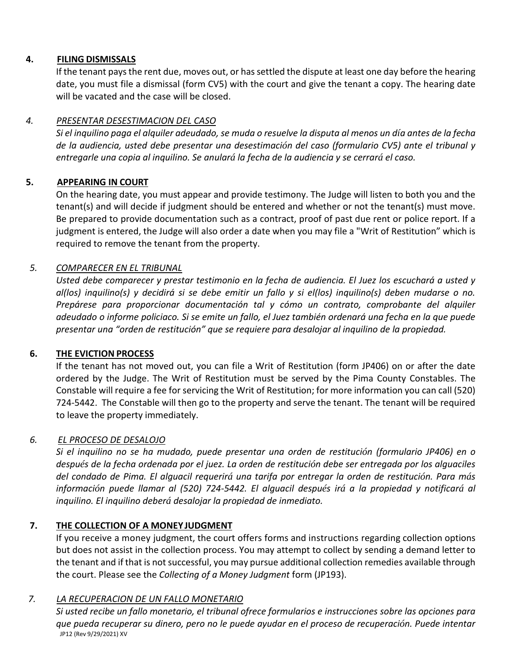# **4. FILING DISMISSALS**

If the tenant pays the rent due, moves out, or has settled the dispute at least one day before the hearing date, you must file a dismissal (form CV5) with the court and give the tenant a copy. The hearing date will be vacated and the case will be closed.

# *4. PRESENTAR DESESTIMACION DEL CASO*

*Si el inquilino paga el alquiler adeudado, se muda o resuelve la disputa al menos un día antes de la fecha de la audiencia, usted debe presentar una desestimación del caso (formulario CV5) ante el tribunal y entregarle una copia al inquilino. Se anulará la fecha de la audiencia y se cerrará el caso.* 

## **5. APPEARING IN COURT**

On the hearing date, you must appear and provide testimony. The Judge will listen to both you and the tenant(s) and will decide if judgment should be entered and whether or not the tenant(s) must move. Be prepared to provide documentation such as a contract, proof of past due rent or police report. If a judgment is entered, the Judge will also order a date when you may file a "Writ of Restitution" which is required to remove the tenant from the property.

## *5. COMPARECER EN EL TRIBUNAL*

*Usted debe comparecer y prestar testimonio en la fecha de audiencia. El Juez los escuchará a usted y al(los) inquilino(s) y decidirá si se debe emitir un fallo y si el(los) inquilino(s) deben mudarse o no. Prepárese para proporcionar documentación tal y cómo un contrato, comprobante del alquiler adeudado o informe policiaco. Si se emite un fallo, el Juez también ordenará una fecha en la que puede presentar una "orden de restitución" que se requiere para desalojar al inquilino de la propiedad.* 

## **6. THE EVICTION PROCESS**

If the tenant has not moved out, you can file a Writ of Restitution (form JP406) on or after the date ordered by the Judge. The Writ of Restitution must be served by the Pima County Constables. The Constable will require a fee for servicing the Writ of Restitution; for more information you can call (520) 724-5442. The Constable will then go to the property and serve the tenant. The tenant will be required to leave the property immediately.

## *6. EL PROCESO DE DESALOJO*

*Si el inquilino no se ha mudado, puede presentar una orden de restitución (formulario JP406) en o después de la fecha ordenada por el juez. La orden de restitución debe ser entregada por los alguaciles del condado de Pima. El alguacil requerirá una tarifa por entregar la orden de restitución. Para más información puede llamar al (520) 724-5442. El alguacil después irá a la propiedad y notificará al inquilino. El inquilino deberá desalojar la propiedad de inmediato.* 

## **7. THE COLLECTION OF A MONEYJUDGMENT**

If you receive a money judgment, the court offers forms and instructions regarding collection options but does not assist in the collection process. You may attempt to collect by sending a demand letter to the tenant and if that is not successful, you may pursue additional collection remedies available through the court. Please see the *Collecting of a Money Judgment* form (JP193).

## *7. LA RECUPERACION DE UN FALLO MONETARIO*

JP12 (Rev 9/29/2021) XV *Si usted recibe un fallo monetario, el tribunal ofrece formularios e instrucciones sobre las opciones para que pueda recuperar su dinero, pero no le puede ayudar en el proceso de recuperación. Puede intentar*